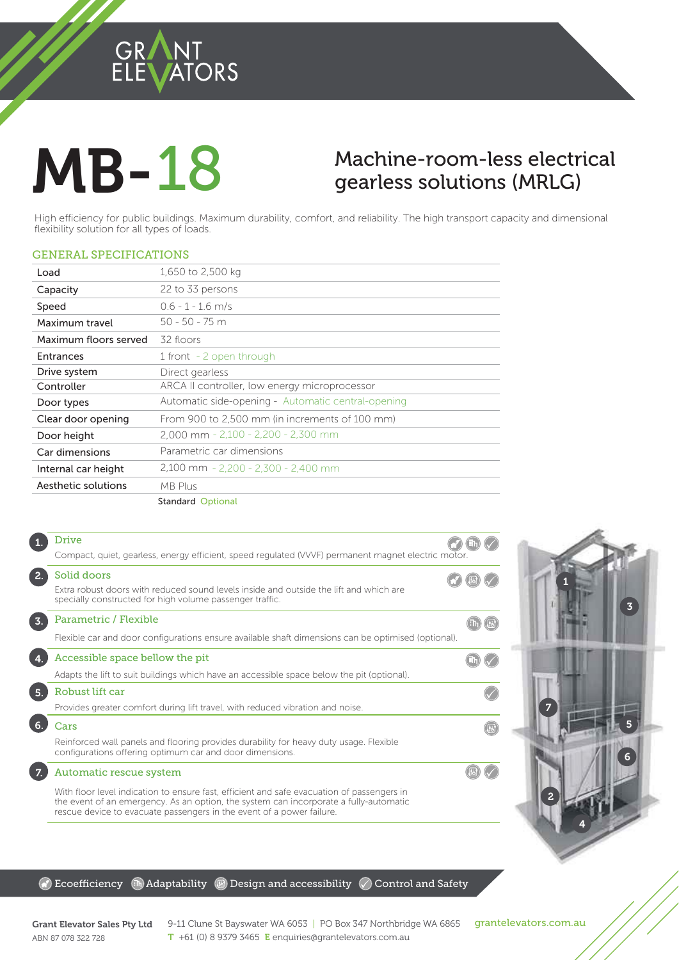### GRANT ORS

# **MB-18**

## gearless solutions (MRLG)

**18 Machine-room-less solutions (MRLG)**<br>Duildings. Maximum durability, comfort, and reliability. The high transport capacity and dimensional<br>DRAMA High efficiency for public buildings. Maximum durability, comfort, and reliability. The high transport capacity and dimensional flexibility solution for all types of loads.

#### GENERAL SPECIFICATIONS

| Load                  | 1,650 to 2,500 kg                                  |
|-----------------------|----------------------------------------------------|
| Capacity              | 22 to 33 persons                                   |
| Speed                 | $0.6 - 1 - 1.6$ m/s                                |
| Maximum travel        | $50 - 50 - 75$ m                                   |
| Maximum floors served | 32 floors                                          |
| Entrances             | 1 front - 2 open through                           |
| Drive system          | Direct gearless                                    |
| Controller            | ARCA II controller, low energy microprocessor      |
| Door types            | Automatic side-opening - Automatic central-opening |
| Clear door opening    | From 900 to 2,500 mm (in increments of 100 mm)     |
| Door height           | $2,000$ mm $- 2,100 - 2,200 - 2,300$ mm            |
| Car dimensions        | Parametric car dimensions                          |
| Internal car height   | 2,100 mm - 2,200 - 2,300 - 2,400 mm                |
| Aesthetic solutions   | MB Plus                                            |
|                       | <b>Standard Optional</b>                           |
|                       |                                                    |

|                  | <b>Drive</b>                                                                                                                                                      |  |
|------------------|-------------------------------------------------------------------------------------------------------------------------------------------------------------------|--|
|                  | Compact, quiet, gearless, energy efficient, speed regulated (VVVF) permanent magnet electric motor.                                                               |  |
| 2.               | Solid doors<br>Extra robust doors with reduced sound levels inside and outside the lift and which are<br>specially constructed for high volume passenger traffic. |  |
| $\overline{3}$ . | Parametric / Flexible                                                                                                                                             |  |
|                  | Flexible car and door configurations ensure available shaft dimensions can be optimised (optional).                                                               |  |
|                  | Accessible space bellow the pit                                                                                                                                   |  |
|                  | Adapts the lift to suit buildings which have an accessible space below the pit (optional).                                                                        |  |
| 5.               | Robust lift car                                                                                                                                                   |  |
|                  | Provides greater comfort during lift travel, with reduced vibration and noise.                                                                                    |  |
|                  | Cars                                                                                                                                                              |  |
|                  | Reinforced wall panels and flooring provides durability for heavy duty usage. Flexible<br>configurations offering optimum car and door dimensions.                |  |
| 7 <sup>1</sup>   | Automatic rescue system                                                                                                                                           |  |
|                  | With floor level indication to ensure fast, efficient and safe evacuation of passengers in                                                                        |  |



#### $\mathbb G$  Ecoefficiency  $\mathbb G$  Adaptability  $\mathbb G$  Design and accessibility  $\mathbb O$  Control and Safety

the event of an emergency. As an option, the system can incorporate a fully-automatic

rescue device to evacuate passengers in the event of a power failure.

ABN 87 078 322 728

Grant Elevator Sales Pty Ltd  $9-11$  Clune St Bayswater WA 6053 | PO Box 347 Northbridge WA 6865 grantelevators.com.au<br>APM 97.979.799.799 T +61 (0) 8 9379 3465 E enquiries@grantelevators.com.au